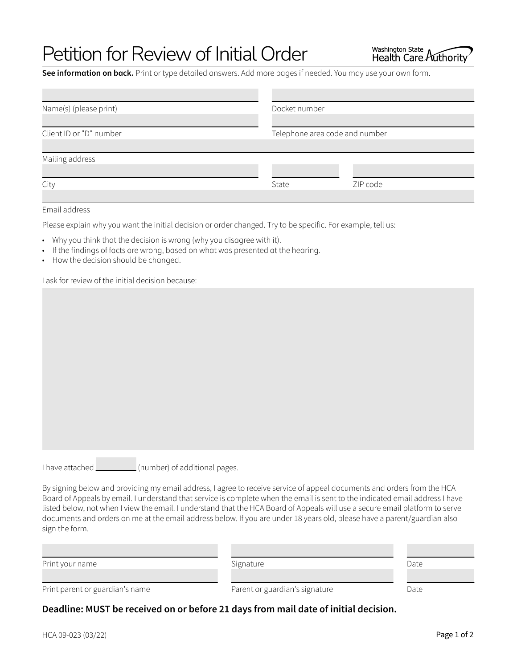# Petition for Review of Initial Order



**See information on back.** Print or type detailed answers. Add more pages if needed. You may use your own form.

| Name(s) (please print)  | Docket number                  |          |
|-------------------------|--------------------------------|----------|
| Client ID or "D" number | Telephone area code and number |          |
| Mailing address         |                                |          |
| City                    | State                          | ZIP code |

Email address

Please explain why you want the initial decision or order changed. Try to be specific. For example, tell us:

- Why you think that the decision is wrong (why you disagree with it).
- If the findings of facts are wrong, based on what was presented at the hearing.
- How the decision should be changed.

I ask for review of the initial decision because:

I have attached  $\Box$  (number) of additional pages.

By signing below and providing my email address, I agree to receive service of appeal documents and orders from the HCA Board of Appeals by email. I understand that service is complete when the email is sent to the indicated email address I have listed below, not when I view the email. I understand that the HCA Board of Appeals will use a secure email platform to serve documents and orders on me at the email address below. If you are under 18 years old, please have a parent/guardian also sign the form.

| Print your name                 | Signature                      | Date |
|---------------------------------|--------------------------------|------|
|                                 |                                |      |
| Print parent or guardian's name | Parent or guardian's signature | Date |

# **Deadline: MUST be received on or before 21 days from mail date of initial decision.**